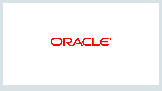ORACLE®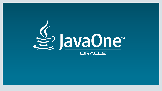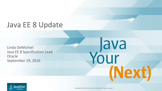# Java EE 8 Update

Linda DeMichiel Java EE 8 Specification Lead **Oracle** September 19, 2016



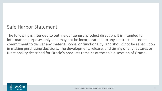### Safe Harbor Statement

The following is intended to outline our general product direction. It is intended for information purposes only, and may not be incorporated into any contract. It is not a commitment to deliver any material, code, or functionality, and should not be relied upon in making purchasing decisions. The development, release, and timing of any features or functionality described for Oracle's products remains at the sole discretion of Oracle.

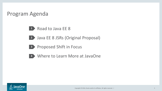### Program Agenda

- 1 Road to Java EE 8
- Java EE 8 JSRs (Original Proposal) **2**
- **3** Proposed Shift in Focus
- - Where to Learn More at JavaOne **4**

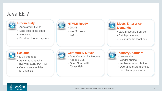### Java EE 7



#### **Productivity**

- Annotated POJOs
- Less boilerplate code
- Integrated
- Excellent tool ecosystem



### **HTML5-Ready**

- JSON
- WebSockets
- JAX-RS



#### **Meets Enterprise Demands**

- Java Message Service
- Batch processing
- Distributed transactions



#### **Scalable**

- Multi-threaded
- Asynchronous APIs (Servlet, EJB, JAX-RS)
- Concurrency utilities for Java EE



### **Community Driven**

- Java Community Process
- Adopt-a-JSR
- Open Source RI (GlassFish)



#### **Industry Standard**

- Lowers risk
- Vendor choice
- Implementation choice
- Operating system choice
- Portable applications

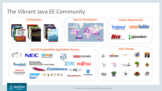## The Vibrant Java EE Community



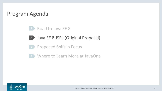### Program Agenda

#### Road to Java EE 8 **1**

- Java EE 8 JSRs (Original Proposal) **2**
- Proposed Shift in Focus **3**
- Where to Learn More at JavaOne **4**

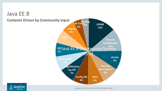

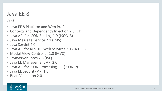## Java EE 8

### **JSRs**

- Java EE 8 Platform and Web Profile
- Contexts and Dependency Injection 2.0 (CDI)
- Java API for JSON Binding 1.0 (JSON-B)
- Java Message Service 2.1 (JMS)
- Java Servlet 4.0
- Java API for RESTful Web Services 2.1 (JAX-RS)
- Model-View-Controller 1.0 (MVC)
- JavaServer Faces 2.3 (JSF)
- Java EE Management API 2.0
- Java API for JSON Processing 1.1 (JSON-P)
- Java EE Security API 1.0
- Bean Validation 2.0

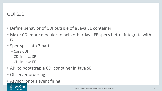### CDI 2.0

- Define behavior of CDI outside of a Java EE container
- Make CDI more modular to help other Java EE specs better integrate with it
- Spec split into 3 parts:
	- Core CDI
	- CDI in Java SE
	- CDI in Java EE
- API to bootstrap a CDI container in Java SE
- Observer ordering
- Asynchronous event firing

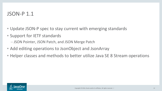### JSON-P 1.1

- Update JSON-P spec to stay current with emerging standards
- Support for IETF standards
	- JSON Pointer, JSON Patch, and JSON Merge Patch
- Add editing operations to JsonObject and JsonArray
- Helper classes and methods to better utilize Java SE 8 Stream operations

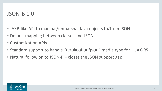### JSON-B 1.0

- JAXB-like API to marshal/unmarshal Java objects to/from JSON
- Default mapping between classes and JSON
- Customization APIs
- Standard support to handle "application/json" media type for JAX-RS
- Natural follow on to JSON-P closes the JSON support gap

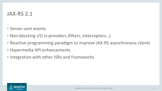### JAX-RS 2.1

- Server-sent events
- Non-blocking I/O in providers (filters, interceptors...)
- Reactive programming paradigm to improve JAX-RS asynchronous clients
- Hypermedia API enhancements
- Integration with other JSRs and frameworks

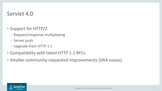### Servlet 4.0

- Support for HTTP/2
	- Request/response multiplexing
	- Server push
	- Upgrade from HTTP 1.1
- Compatibility with latest HTTP 1.1 RFCs
- Smaller community-requested improvements (JIRA issues)

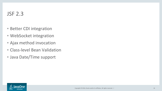- Better CDI integration
- WebSocket integration
- Ajax method invocation
- Class-level Bean Validation
- Java Date/Time support

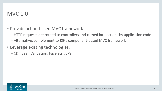### MVC 1.0

- Provide action-based MVC framework
	- HTTP requests are routed to controllers and turned into actions by application code
	- Alternative/complement to JSF's component-based MVC framework
- Leverage existing technologies:
	- CDI, Bean Validation, Facelets, JSPs

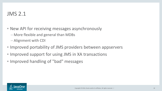### JMS 2.1

- New API for receiving messages asynchronously
	- More flexible and general than MDBs
	- Alignment with CDI
- Improved portability of JMS providers between appservers
- Improved support for using JMS in XA transactions
- Improved handling of "bad" messages

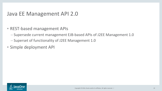### Java EE Management API 2.0

- REST-based management APIs
	- Supersede current management EJB-based APIs of J2EE Management 1.0
	- Superset of functionality of J2EE Management 1.0
- Simple deployment API

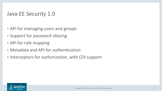### Java EE Security 1.0

- API for managing users and groups
- Support for password aliasing
- API for role mapping
- Metadata and API for authentication
- Interceptors for authorization, with CDI support

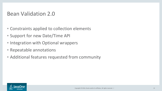### Bean Validation 2.0

- Constraints applied to collection elements
- Support for new Date/Time API
- Integration with Optional wrappers
- Repeatable annotations
- Additional features requested from community

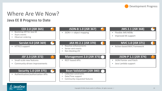

## Where Are We Now?

**Java EE 8 Progress to Date**



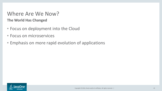# Where Are We Now?

**The World Has Changed**

- Focus on deployment into the Cloud
- Focus on microservices
- Emphasis on more rapid evolution of applications

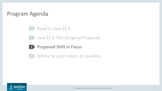### Program Agenda

Road to Java EE 8 **1**

**2 Java EE 8 JSRs (Original Proposal)** 

**3** Proposed Shift in Focus



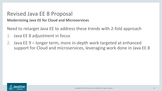### Revised Java EE 8 Proposal

**Modernizing Java EE for Cloud and Microservices**

Need to retarget Java EE to address these trends with 2-fold approach

- Java EE 8 adjustment in focus
- 2. Java EE 9 longer term, more in-depth work targeted at enhanced support for Cloud and microservices, leveraging work done in Java EE 8

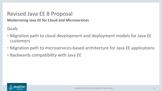## Revised Java EE 8 Proposal

**Modernizing Java EE for Cloud and Microservices**

Goals

- Migration path to cloud development and deployment models for Java EE customers
- Migration path to microservices-based architecture for Java EE applications
- Backwards compatibility with Java EE

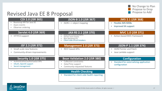

## Revised Java EE 8 Proposal

#### **CDI 2.0 (JSR 365)**

- Bootstrap API for Java SE
- Async events
- Observer ordering

### Servlet 4.0 (JSR 369)<br> **Service Contract of the Service enhancements**

**HTTP/2 support** 

#### **JSF 2.3 (JSR 372)**

- **Small-scale new features**
- **EXECOMMUNITY-driven improvements**

#### **Security 1.0 (JSR 375)**

- Authentication/authorization APIs
- OAuth, OpenID support
- **Secret management**

#### **JSON-B 1.0 (JSR 367)**

JSON <-> object mapping

#### **JAX-RS 2.1 (JSR 370)**

- 
- Server-sent events
- Non-blocking I/O
- Client-side circuit breakers

#### **Management 2.0 (JSR 373)**

**REST-based APIs** 

#### **Bean Validation 2.0 (JSR 380)**

- Collection constraints
- Date/Time support
- Community-requested features

#### **Health Checking**

**Standard for client-side health reporting** 

#### **JMS 2.1 (JSR 368)**

- **Flexible JMS MDBs**
- Improved XA support

#### **MVC 1.0 (JSR 371)**

Action-based MVC framework

#### **JSON-P 1.1 (JSR 374)**

- **JSON Pointer and Patch**
- Java Lambda support

#### **Configuration**

**Standard for externalizing application** configuration

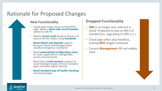## Rationale for Proposed Changes

#### **New Functionality**

- Cloud apps make many remote REST calls. Need a **client-side circuit breaker**  added to JAX-RS
- Need a **secret vault** because there's no way to do this today using **standards**
- **Need OAuth and OpenID** support because those technologies have rapidly emerged as standards
- Need **externalized configuration store** to make applications retargetable across environments
- Need basic **multi-tenancy** support to accommodate needs of more complex apps and offer higher density
- **Need standard way of health checking** Java-based apps

### **Dropped Functionality**

- **JMS** is no longer very relevant in cloud. Proposed to stay at JMS 2.0 standard (vs. upgrading to JMS 2.1 ).
- Cloud apps often ship headless, making **MVC** largely irrelevant
- Current **Management** JSR not widely used

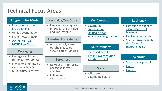### **Technical Focus Areas**

| <b>Programming Model</b>                                                                                                                               | <b>Key Value/Doc Store</b>                                                                   | <b>Configuration</b>                                                           | <b>Resiliency</b>                                                                                                                              |
|--------------------------------------------------------------------------------------------------------------------------------------------------------|----------------------------------------------------------------------------------------------|--------------------------------------------------------------------------------|------------------------------------------------------------------------------------------------------------------------------------------------|
| <b>Extend for reactive</b><br>programming<br>Unified event model<br><b>Event messaging API</b><br>$\blacksquare$<br>JAX-RS, HTTP/2,<br>Lambda, JSON-B, | • Persistence and query<br>interface for key value<br>and document DB                        | Externalize<br>$\blacksquare$<br>configuration<br><b>Unified API for</b>       | <b>Extension to support</b><br>$\blacksquare$<br>client-side circuit<br><b>breakers</b><br><b>Resilient commands</b><br>Standardize on client- |
|                                                                                                                                                        | <b>Eventual Consistency</b>                                                                  | accessing configuration                                                        |                                                                                                                                                |
|                                                                                                                                                        | <b>Automatically event</b><br>$\blacksquare$<br>out changes to ob-<br>served data structures | <b>Multi-tenancy</b>                                                           | side format for<br>reporting health                                                                                                            |
| <b>Packaging</b>                                                                                                                                       |                                                                                              | <b>Increased density</b><br><b>Tenant-aware routing</b><br>п<br>and deployment |                                                                                                                                                |
| Package applications,<br>runtimes into services<br>Standalone immutable<br>executable binary<br><b>Multi-artifact archives</b><br>$\blacksquare$       | <b>Serverless</b>                                                                            |                                                                                | <b>Security</b><br>Secret management<br>$\blacksquare$<br>OAuth<br>OpenID                                                                      |
|                                                                                                                                                        | New spec – interfaces,<br>packaging format,<br>manifest<br>Ephemeral<br>ш<br>instantiation   | <b>State</b><br>API to store<br>$\blacksquare$<br>externalized state           |                                                                                                                                                |

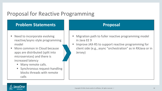### Proposal for Reactive Programming

- Need to incorporate evolving reactive/async-style programming model
- More common in Cloud because apps are distributed (split into microservices) and there is increased latency
	- Many remote calls.
	- **Synchronous request-handling** blocks threads with remote calls

- Migration path to fuller reactive programming model in Java EE 9
- Improve JAX-RS to support reactive programming for client side (e.g., async "orchestration" as in RXJava or in Jersey)

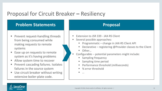### Proposal for Circuit Breaker **–** Resiliency

- Prevent request-handling threads from being consumed while making requests to remote systems
- Ease up on requests to remote system as it's having problems
- Allow system time to recover
- Prevent cascading failures. Isolates failures in the source system
- Use circuit breaker without writing extensive boiler-plate code.

- Extension to JSR 339 JAX-RS Client
- **Several possible approaches:** 
	- Programmatic change in JAX-RS Client API
	- Declarative registering @Provider classes to the Client
	- Other…
- Configurable -- potential parameters might include:
	- Sampling frequency
	- Sampling time period
	- Performance threshold (milliseconds)
	- % error threshold
	- …

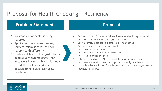## Proposal for Health Checking **–** Resiliency

- No standard for health is being reported
- Applications, resources, servers, services, micro-services, etc. will report health differently
- Traditional health check just returns opaque up/down messages. If an instance is having problems, it should report the root cause(s) where possible to help diagnose/locate problems

- Define standard for how individual instances should report health
	- REST API with structure format in JSON
- Define configurable context path  $-e.g.$  /healthcheck
- Define semantics for reporting health
	- Health status codes
	- Reason(s) for failures, warnings, etc.
	- **Health of dependencies**
- Enhancements to Java APIs to facilitate easier development
	- New annotations and descriptors to specify health endpoints
- Circuit breaker could poll /healthcheck rather than waiting for HTTP requests to fail first

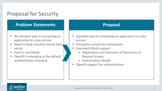### Proposal for Security

- No standard way of connecting an application to a key service
- Need to keep sensitive stored data, secret
- Hard to use OAuth
- OpenID is emerging as the default authentication standard

- **Standard way of connecting an application to a key** service
- **Encryption service for stored data**
- Improved OAuth support
	- Registration and Discovery of Resources to Request Scopes
	- **Authorization Model**
- **OpenID support for authentication**

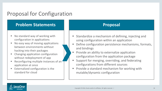### Proposal for Configuration

- No standard way of working with configuration in applications
- No easy way of moving applications between environments without hacking into their packages
- Changing application configuration without redeployment of app
- Reconfiguring multiple instances of an application at once
- Externalized configuration is the standard for cloud

- Standardize a mechanism of defining, injecting and using configuration within an application
- Define configuration persistence mechanisms, formats, and bindings
- Provide an ability to externalize application configuration from the application package
- Support for merging, overriding, and federating configurations from different sources
- Provide a standard mechanism for working with mutable/dynamic configuration

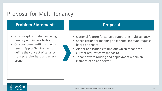### Proposal for Multi-tenancy

- No concept of customer-facing tenancy within Java today
- One customer writing a multitenant App or Service has to define the concept of tenancy from scratch – hard and errorprone

- Optional feature for servers supporting multi-tenancy
- Specification for mapping an external inbound request back to a tenant
- API for applications to find out which tenant the current request corresponds to
- Tenant-aware routing and deployment within an instance of an app server

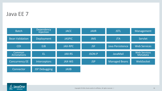### Java EE 7



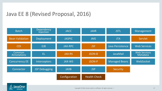## Java EE 8 (Revised Proposal, 2016)



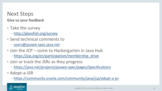### Next Steps **Give us your feedback**

- Take the survey
	- <http://glassfish.org/survey>
- Send technical comments to
	- [users@javaee-spec.java.net](mailto:users@javaee-spec.java.net)
- Join the JCP come to Hackergarten in Java Hub
	- [https://jcp.org/en/participation/membership\\_drive](https://jcp.org/en/participation/membership_drive)
- Join or track the JSRs as they progress
	- <https://java.net/projects/javaee-spec/pages/Specifications>
- Adopt-a-JSR
	- <https://community.oracle.com/community/java/jcp/adopt-a-jsr>

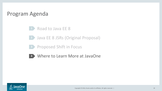### Program Agenda

Road to Java EE 8 **1**

**2 Java EE 8 JSRs (Original Proposal)** 

**3** Proposed Shift in Focus



Where to Learn More at JavaOne **4**

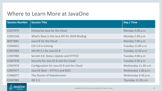### Where to Learn More at JavaOne

| <b>Session Number</b> | <b>Session Title</b>                        | Day / Time          |
|-----------------------|---------------------------------------------|---------------------|
| <b>CON7975</b>        | Enterprise Java for the Cloud               | Monday 4:00 p.m.    |
| <b>CON1558</b>        | What's New in the Java API for JSON Binding | Monday 5:30 p.m     |
| <b>BOF7984</b>        | Java EE for the Cloud                       | Monday 7:00 p.m     |
| <b>CON4022</b>        | CDI 2.0 Is Coming                           | Tuesday 11:00 a.m   |
| <b>CON7983</b>        | JAX-RS 2.1 for Java EE 8                    | Tuesday 12:30 p.m   |
| <b>CON7980</b>        | Servlet 4.0: Status Update and HTTP/2       | Tuesday 4:00 p.m    |
| <b>CON7978</b>        | Security for Java EE 8 and the Cloud        | Tuesday 5:30 p.m    |
| <b>CON7979</b>        | Configuration for Java EE 8 and the Cloud   | Wednesday 11:30 a.m |
| <b>CON7977</b>        | Java EE Next - HTTP/2 and REST              | Wednesday 1:00 p.m  |
| <b>CON6077</b>        | The Illusion of Statelessness               | Wednesday 4:30 p.m. |
| <b>CON7981</b>        | <b>JSF 2.3</b>                              | Thursday 11:30 a.m  |

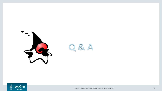



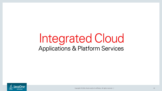# Integrated Cloud **Applications & Platform Services**

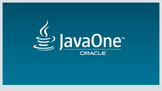